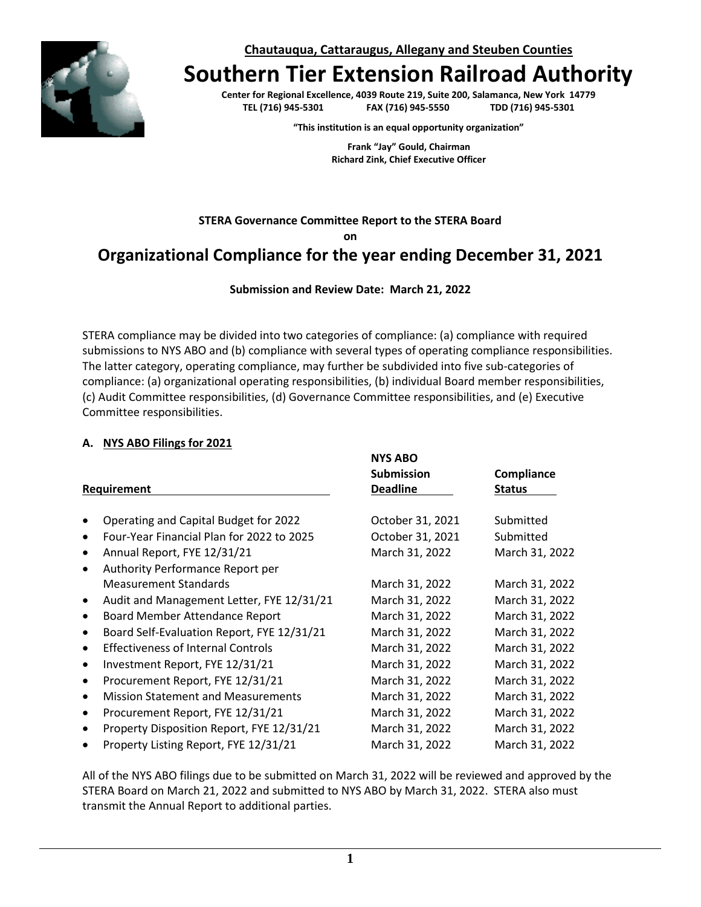**Chautauqua, Cattaraugus, Allegany and Steuben Counties**



# **Southern Tier Extension Railroad Authority**

**Center for Regional Excellence, 4039 Route 219, Suite 200, Salamanca, New York 14779**  $FAX (716) 945-5550$ 

**"This institution is an equal opportunity organization"**

**Frank "Jay" Gould, Chairman Richard Zink, Chief Executive Officer**

### **STERA Governance Committee Report to the STERA Board on Organizational Compliance for the year ending December 31, 2021**

**Submission and Review Date: March 21, 2022**

STERA compliance may be divided into two categories of compliance: (a) compliance with required submissions to NYS ABO and (b) compliance with several types of operating compliance responsibilities. The latter category, operating compliance, may further be subdivided into five sub-categories of compliance: (a) organizational operating responsibilities, (b) individual Board member responsibilities, (c) Audit Committee responsibilities, (d) Governance Committee responsibilities, and (e) Executive Committee responsibilities.

#### **A. NYS ABO Filings for 2021**

|           |                                            | <b>NYS ABO</b>    |                |  |
|-----------|--------------------------------------------|-------------------|----------------|--|
|           |                                            | <b>Submission</b> | Compliance     |  |
|           | <b>Requirement</b>                         | <b>Deadline</b>   | <b>Status</b>  |  |
|           |                                            |                   |                |  |
|           | Operating and Capital Budget for 2022      | October 31, 2021  | Submitted      |  |
|           | Four-Year Financial Plan for 2022 to 2025  | October 31, 2021  | Submitted      |  |
| $\bullet$ | Annual Report, FYE 12/31/21                | March 31, 2022    | March 31, 2022 |  |
| $\bullet$ | <b>Authority Performance Report per</b>    |                   |                |  |
|           | <b>Measurement Standards</b>               | March 31, 2022    | March 31, 2022 |  |
| ٠         | Audit and Management Letter, FYE 12/31/21  | March 31, 2022    | March 31, 2022 |  |
| $\bullet$ | <b>Board Member Attendance Report</b>      | March 31, 2022    | March 31, 2022 |  |
| ٠         | Board Self-Evaluation Report, FYE 12/31/21 | March 31, 2022    | March 31, 2022 |  |
| ٠         | <b>Effectiveness of Internal Controls</b>  | March 31, 2022    | March 31, 2022 |  |
| ٠         | Investment Report, FYE 12/31/21            | March 31, 2022    | March 31, 2022 |  |
| ٠         | Procurement Report, FYE 12/31/21           | March 31, 2022    | March 31, 2022 |  |
| $\bullet$ | <b>Mission Statement and Measurements</b>  | March 31, 2022    | March 31, 2022 |  |
| $\bullet$ | Procurement Report, FYE 12/31/21           | March 31, 2022    | March 31, 2022 |  |
| $\bullet$ | Property Disposition Report, FYE 12/31/21  | March 31, 2022    | March 31, 2022 |  |
| $\bullet$ | Property Listing Report, FYE 12/31/21      | March 31, 2022    | March 31, 2022 |  |

All of the NYS ABO filings due to be submitted on March 31, 2022 will be reviewed and approved by the STERA Board on March 21, 2022 and submitted to NYS ABO by March 31, 2022. STERA also must transmit the Annual Report to additional parties.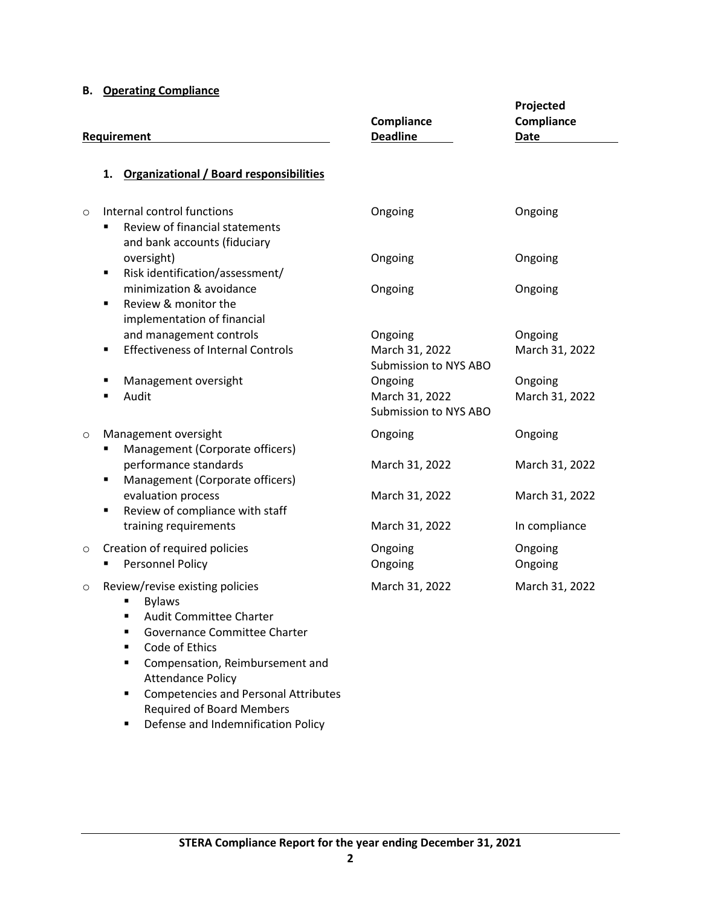#### **B. Operating Compliance**

| Requirement |                                                                                                                       | Compliance<br><b>Deadline</b>                      | Projected<br>Compliance<br><b>Date</b> |  |
|-------------|-----------------------------------------------------------------------------------------------------------------------|----------------------------------------------------|----------------------------------------|--|
|             | <b>Organizational / Board responsibilities</b><br>1.                                                                  |                                                    |                                        |  |
| $\circ$     | Internal control functions<br>Review of financial statements<br>$\blacksquare$<br>and bank accounts (fiduciary        | Ongoing                                            | Ongoing                                |  |
|             | oversight)<br>Risk identification/assessment/<br>٠                                                                    | Ongoing                                            | Ongoing                                |  |
|             | minimization & avoidance<br>Review & monitor the<br>٠<br>implementation of financial                                  | Ongoing                                            | Ongoing                                |  |
|             | and management controls<br><b>Effectiveness of Internal Controls</b><br>٠                                             | Ongoing<br>March 31, 2022<br>Submission to NYS ABO | Ongoing<br>March 31, 2022              |  |
|             | Management oversight<br>Audit                                                                                         | Ongoing<br>March 31, 2022<br>Submission to NYS ABO | Ongoing<br>March 31, 2022              |  |
| $\circ$     | Management oversight<br>Management (Corporate officers)                                                               | Ongoing                                            | Ongoing                                |  |
|             | performance standards<br>Management (Corporate officers)<br>٠                                                         | March 31, 2022                                     | March 31, 2022                         |  |
|             | evaluation process<br>Review of compliance with staff<br>٠                                                            | March 31, 2022                                     | March 31, 2022                         |  |
|             | training requirements                                                                                                 | March 31, 2022                                     | In compliance                          |  |
| $\circ$     | Creation of required policies<br>Personnel Policy                                                                     | Ongoing<br>Ongoing                                 | Ongoing<br>Ongoing                     |  |
| $\circ$     | Review/revise existing policies<br><b>Bylaws</b><br>$\Lambda$ and $\Lambda$ are associated as $\Lambda$ and $\Lambda$ | March 31, 2022                                     | March 31, 2022                         |  |

- Audit Committee Charter
- Governance Committee Charter
- Code of Ethics
- Compensation, Reimbursement and Attendance Policy
- Competencies and Personal Attributes Required of Board Members
- Defense and Indemnification Policy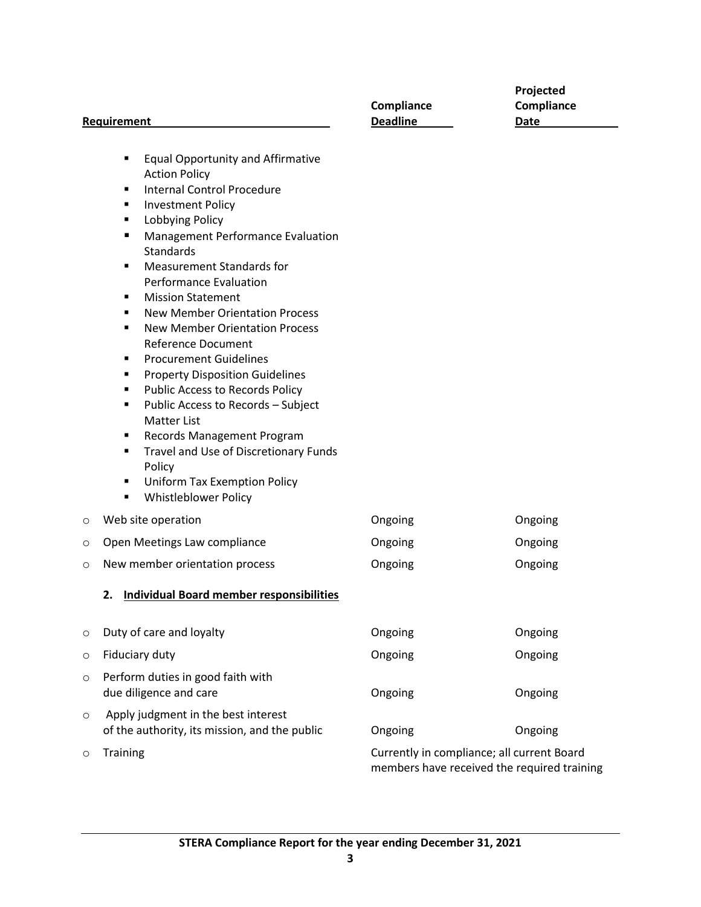| Requirement |                                                                                                                                                                                                                                                                                                                                                                                                                                                                                                                                                                                                                                                                                                                                                                                                                                                     | Compliance<br><b>Deadline</b>                                                             | Projected<br>Compliance<br>Date |  |
|-------------|-----------------------------------------------------------------------------------------------------------------------------------------------------------------------------------------------------------------------------------------------------------------------------------------------------------------------------------------------------------------------------------------------------------------------------------------------------------------------------------------------------------------------------------------------------------------------------------------------------------------------------------------------------------------------------------------------------------------------------------------------------------------------------------------------------------------------------------------------------|-------------------------------------------------------------------------------------------|---------------------------------|--|
|             | <b>Equal Opportunity and Affirmative</b><br>٠<br><b>Action Policy</b><br><b>Internal Control Procedure</b><br>٠<br><b>Investment Policy</b><br>٠<br><b>Lobbying Policy</b><br>٠<br>Management Performance Evaluation<br>п<br>Standards<br><b>Measurement Standards for</b><br>٠<br><b>Performance Evaluation</b><br><b>Mission Statement</b><br>٠<br><b>New Member Orientation Process</b><br>٠<br><b>New Member Orientation Process</b><br>٠<br><b>Reference Document</b><br><b>Procurement Guidelines</b><br>٠<br><b>Property Disposition Guidelines</b><br>٠<br>Public Access to Records Policy<br>٠<br>Public Access to Records - Subject<br>٠<br><b>Matter List</b><br>Records Management Program<br>٠<br>Travel and Use of Discretionary Funds<br>٠<br>Policy<br><b>Uniform Tax Exemption Policy</b><br>٠<br><b>Whistleblower Policy</b><br>٠ |                                                                                           |                                 |  |
| $\circ$     | Web site operation                                                                                                                                                                                                                                                                                                                                                                                                                                                                                                                                                                                                                                                                                                                                                                                                                                  | Ongoing                                                                                   | Ongoing                         |  |
| O           | Open Meetings Law compliance                                                                                                                                                                                                                                                                                                                                                                                                                                                                                                                                                                                                                                                                                                                                                                                                                        | Ongoing                                                                                   | Ongoing                         |  |
| $\circ$     | New member orientation process                                                                                                                                                                                                                                                                                                                                                                                                                                                                                                                                                                                                                                                                                                                                                                                                                      | Ongoing                                                                                   | Ongoing                         |  |
|             | 2. Individual Board member responsibilities                                                                                                                                                                                                                                                                                                                                                                                                                                                                                                                                                                                                                                                                                                                                                                                                         |                                                                                           |                                 |  |
| O           | Duty of care and loyalty                                                                                                                                                                                                                                                                                                                                                                                                                                                                                                                                                                                                                                                                                                                                                                                                                            | Ongoing                                                                                   | Ongoing                         |  |
| $\circ$     | Fiduciary duty                                                                                                                                                                                                                                                                                                                                                                                                                                                                                                                                                                                                                                                                                                                                                                                                                                      | Ongoing                                                                                   | Ongoing                         |  |
| $\circ$     | Perform duties in good faith with<br>due diligence and care                                                                                                                                                                                                                                                                                                                                                                                                                                                                                                                                                                                                                                                                                                                                                                                         | Ongoing                                                                                   | Ongoing                         |  |
| O           | Apply judgment in the best interest<br>of the authority, its mission, and the public                                                                                                                                                                                                                                                                                                                                                                                                                                                                                                                                                                                                                                                                                                                                                                | Ongoing                                                                                   | Ongoing                         |  |
| $\circ$     | Training                                                                                                                                                                                                                                                                                                                                                                                                                                                                                                                                                                                                                                                                                                                                                                                                                                            | Currently in compliance; all current Board<br>members have received the required training |                                 |  |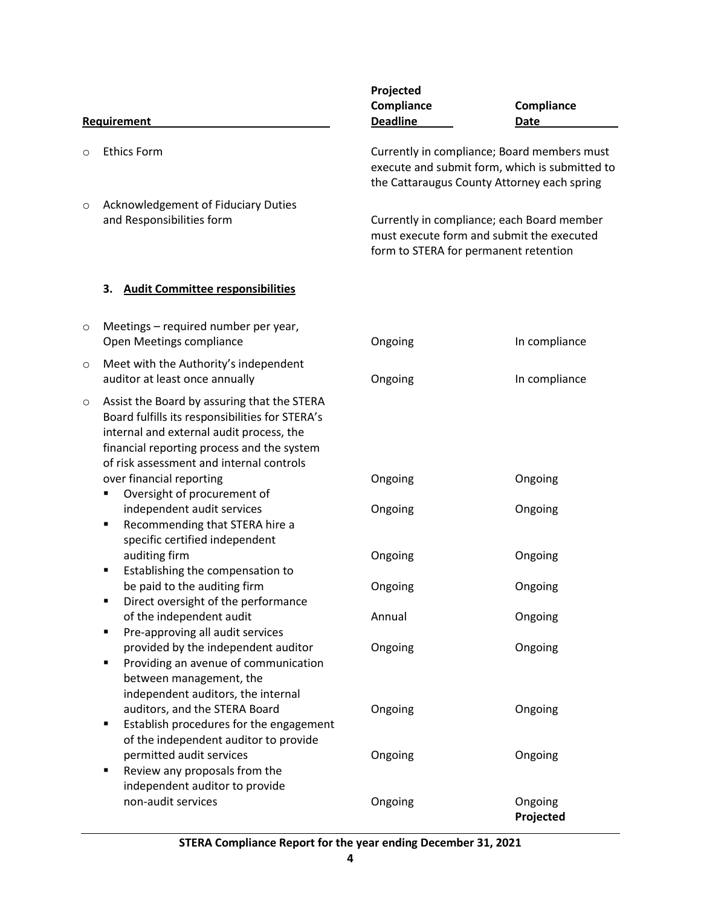|             |                                                                                                                                                                                                                                      | Projected                                                                                                                                    |                      |  |
|-------------|--------------------------------------------------------------------------------------------------------------------------------------------------------------------------------------------------------------------------------------|----------------------------------------------------------------------------------------------------------------------------------------------|----------------------|--|
|             |                                                                                                                                                                                                                                      | Compliance                                                                                                                                   | Compliance           |  |
| Requirement |                                                                                                                                                                                                                                      | <b>Deadline</b>                                                                                                                              | <b>Date</b>          |  |
| $\circ$     | <b>Ethics Form</b>                                                                                                                                                                                                                   | Currently in compliance; Board members must<br>execute and submit form, which is submitted to<br>the Cattaraugus County Attorney each spring |                      |  |
| $\circ$     | Acknowledgement of Fiduciary Duties<br>and Responsibilities form                                                                                                                                                                     | Currently in compliance; each Board member<br>must execute form and submit the executed<br>form to STERA for permanent retention             |                      |  |
|             | <b>Audit Committee responsibilities</b><br>З.                                                                                                                                                                                        |                                                                                                                                              |                      |  |
| $\circ$     | Meetings – required number per year,<br>Open Meetings compliance                                                                                                                                                                     | Ongoing                                                                                                                                      | In compliance        |  |
| $\circ$     | Meet with the Authority's independent<br>auditor at least once annually                                                                                                                                                              | Ongoing                                                                                                                                      | In compliance        |  |
| $\circ$     | Assist the Board by assuring that the STERA<br>Board fulfills its responsibilities for STERA's<br>internal and external audit process, the<br>financial reporting process and the system<br>of risk assessment and internal controls |                                                                                                                                              |                      |  |
|             | over financial reporting<br>Oversight of procurement of<br>п                                                                                                                                                                         | Ongoing                                                                                                                                      | Ongoing              |  |
|             | independent audit services<br>Recommending that STERA hire a<br>٠<br>specific certified independent                                                                                                                                  | Ongoing                                                                                                                                      | Ongoing              |  |
|             | auditing firm<br>Establishing the compensation to<br>٠                                                                                                                                                                               | Ongoing                                                                                                                                      | Ongoing              |  |
|             | be paid to the auditing firm<br>Direct oversight of the performance                                                                                                                                                                  | Ongoing                                                                                                                                      | Ongoing              |  |
|             | of the independent audit<br>Pre-approving all audit services<br>٠                                                                                                                                                                    | Annual                                                                                                                                       | Ongoing              |  |
|             | provided by the independent auditor<br>Providing an avenue of communication<br>٠<br>between management, the<br>independent auditors, the internal                                                                                    | Ongoing                                                                                                                                      | Ongoing              |  |
|             | auditors, and the STERA Board<br>Establish procedures for the engagement<br>٠<br>of the independent auditor to provide                                                                                                               | Ongoing                                                                                                                                      | Ongoing              |  |
|             | permitted audit services<br>Review any proposals from the<br>٠<br>independent auditor to provide                                                                                                                                     | Ongoing                                                                                                                                      | Ongoing              |  |
|             | non-audit services                                                                                                                                                                                                                   | Ongoing                                                                                                                                      | Ongoing<br>Projected |  |

## **STERA Compliance Report for the year ending December 31, 2021**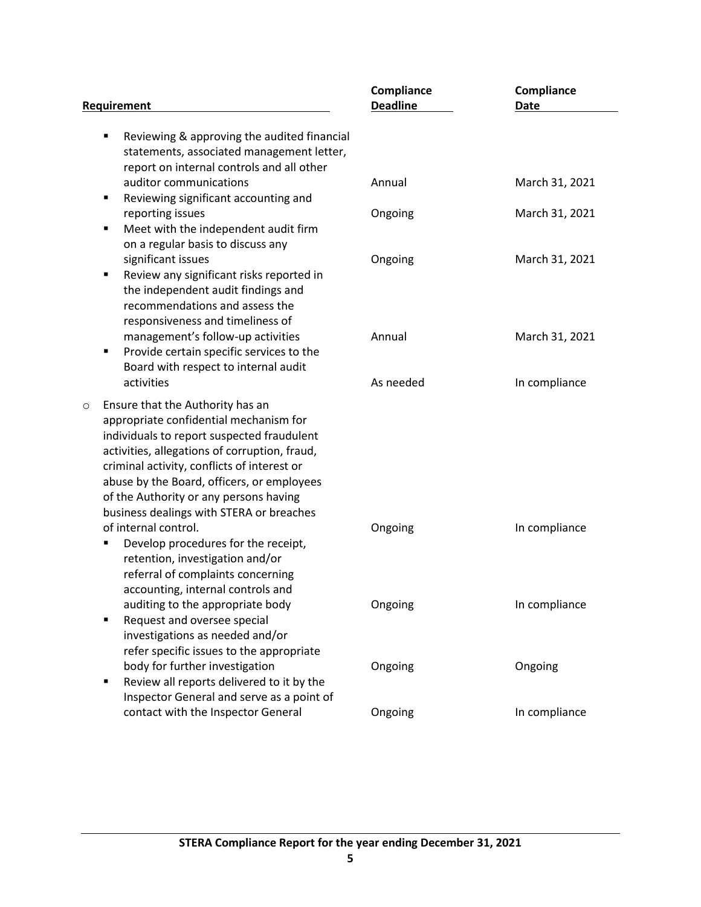|                                                                                                                                                                                                                                                                                                                                                                         | Compliance      | Compliance     |
|-------------------------------------------------------------------------------------------------------------------------------------------------------------------------------------------------------------------------------------------------------------------------------------------------------------------------------------------------------------------------|-----------------|----------------|
| Requirement                                                                                                                                                                                                                                                                                                                                                             | <b>Deadline</b> | <b>Date</b>    |
| Reviewing & approving the audited financial<br>٠<br>statements, associated management letter,<br>report on internal controls and all other                                                                                                                                                                                                                              |                 |                |
| auditor communications<br>Reviewing significant accounting and<br>٠                                                                                                                                                                                                                                                                                                     | Annual          | March 31, 2021 |
| reporting issues<br>Meet with the independent audit firm<br>п<br>on a regular basis to discuss any                                                                                                                                                                                                                                                                      | Ongoing         | March 31, 2021 |
| significant issues<br>Review any significant risks reported in<br>٠<br>the independent audit findings and<br>recommendations and assess the<br>responsiveness and timeliness of                                                                                                                                                                                         | Ongoing         | March 31, 2021 |
| management's follow-up activities<br>Provide certain specific services to the<br>٠<br>Board with respect to internal audit                                                                                                                                                                                                                                              | Annual          | March 31, 2021 |
| activities                                                                                                                                                                                                                                                                                                                                                              | As needed       | In compliance  |
| Ensure that the Authority has an<br>$\circ$<br>appropriate confidential mechanism for<br>individuals to report suspected fraudulent<br>activities, allegations of corruption, fraud,<br>criminal activity, conflicts of interest or<br>abuse by the Board, officers, or employees<br>of the Authority or any persons having<br>business dealings with STERA or breaches |                 |                |
| of internal control.<br>Develop procedures for the receipt,<br>Ξ<br>retention, investigation and/or<br>referral of complaints concerning<br>accounting, internal controls and                                                                                                                                                                                           | Ongoing         | In compliance  |
| auditing to the appropriate body<br>Request and oversee special<br>п<br>investigations as needed and/or<br>refer specific issues to the appropriate                                                                                                                                                                                                                     | Ongoing         | In compliance  |
| body for further investigation<br>Review all reports delivered to it by the<br>٠<br>Inspector General and serve as a point of                                                                                                                                                                                                                                           | Ongoing         | Ongoing        |
| contact with the Inspector General                                                                                                                                                                                                                                                                                                                                      | Ongoing         | In compliance  |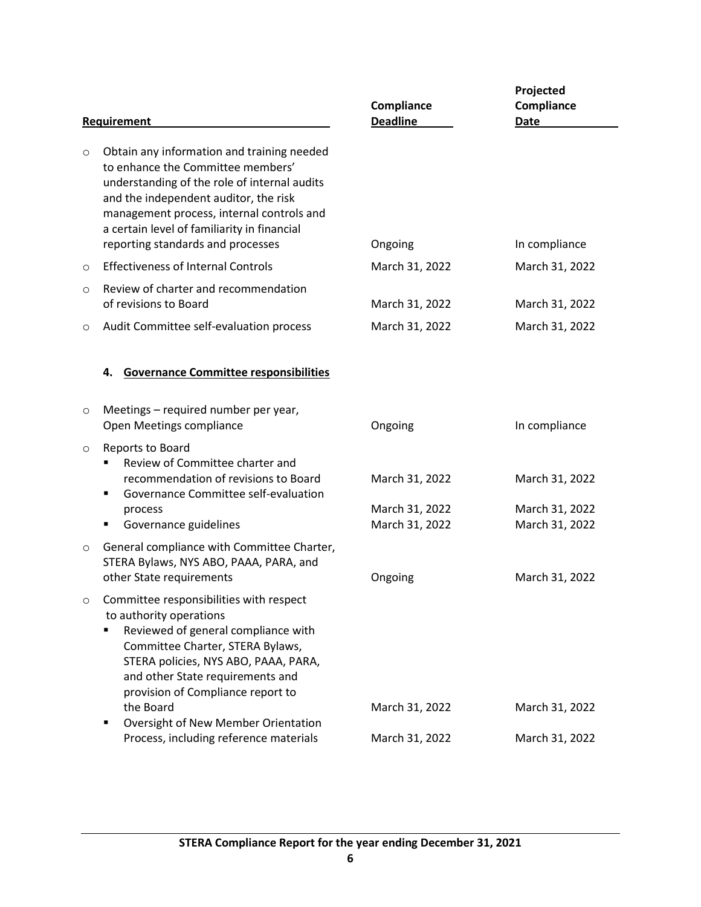| Requirement                                                                                                                                                                                                                                                                                                                                                  | Compliance<br><b>Deadline</b>                                                  | Projected<br>Compliance<br><b>Date</b>             |
|--------------------------------------------------------------------------------------------------------------------------------------------------------------------------------------------------------------------------------------------------------------------------------------------------------------------------------------------------------------|--------------------------------------------------------------------------------|----------------------------------------------------|
| Obtain any information and training needed<br>to enhance the Committee members'<br>understanding of the role of internal audits<br>and the independent auditor, the risk<br>management process, internal controls and<br>a certain level of familiarity in financial                                                                                         |                                                                                | In compliance                                      |
|                                                                                                                                                                                                                                                                                                                                                              |                                                                                | March 31, 2022                                     |
| Review of charter and recommendation<br>of revisions to Board<br>Audit Committee self-evaluation process                                                                                                                                                                                                                                                     | March 31, 2022<br>March 31, 2022                                               | March 31, 2022<br>March 31, 2022                   |
| <b>Governance Committee responsibilities</b><br>4.                                                                                                                                                                                                                                                                                                           |                                                                                |                                                    |
| Meetings - required number per year,<br>Open Meetings compliance                                                                                                                                                                                                                                                                                             | Ongoing                                                                        | In compliance                                      |
| Reports to Board<br>Review of Committee charter and<br>recommendation of revisions to Board<br>Governance Committee self-evaluation<br>п<br>process<br>Governance guidelines<br>п                                                                                                                                                                            | March 31, 2022<br>March 31, 2022<br>March 31, 2022                             | March 31, 2022<br>March 31, 2022<br>March 31, 2022 |
| General compliance with Committee Charter,<br>STERA Bylaws, NYS ABO, PAAA, PARA, and<br>other State requirements                                                                                                                                                                                                                                             | Ongoing                                                                        | March 31, 2022                                     |
| Committee responsibilities with respect<br>to authority operations<br>Reviewed of general compliance with<br>Committee Charter, STERA Bylaws,<br>STERA policies, NYS ABO, PAAA, PARA,<br>and other State requirements and<br>provision of Compliance report to<br>the Board<br>Oversight of New Member Orientation<br>Process, including reference materials | March 31, 2022<br>March 31, 2022                                               | March 31, 2022<br>March 31, 2022                   |
|                                                                                                                                                                                                                                                                                                                                                              | reporting standards and processes<br><b>Effectiveness of Internal Controls</b> | Ongoing<br>March 31, 2022                          |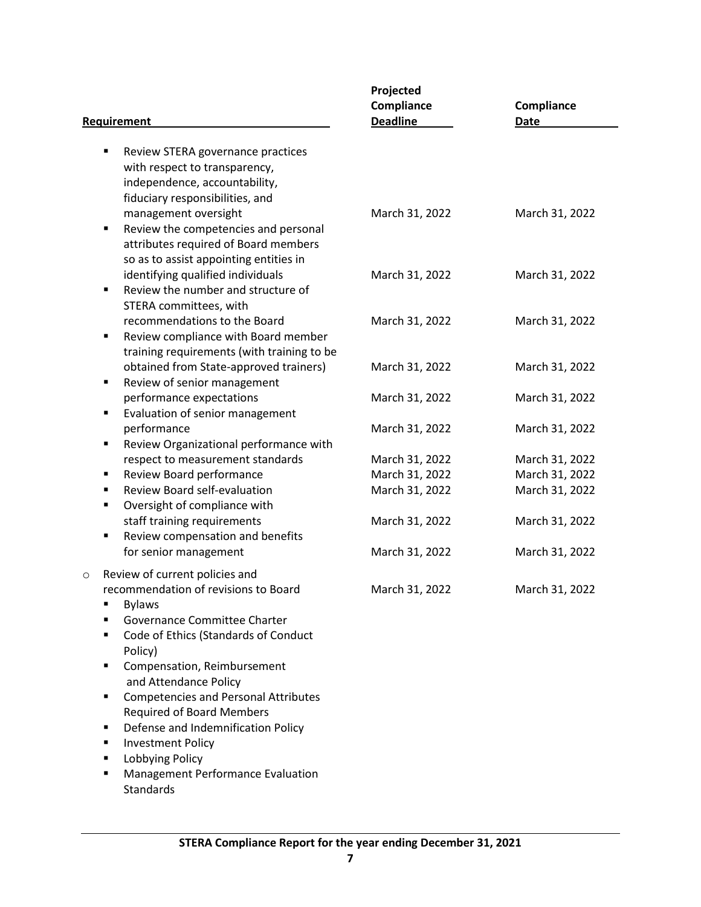| <b>Requirement</b>                                                                                                                                                                                    | Projected<br>Compliance<br><b>Deadline</b> | Compliance<br><b>Date</b>        |
|-------------------------------------------------------------------------------------------------------------------------------------------------------------------------------------------------------|--------------------------------------------|----------------------------------|
| Review STERA governance practices<br>٠<br>with respect to transparency,<br>independence, accountability,                                                                                              |                                            |                                  |
| fiduciary responsibilities, and<br>management oversight<br>Review the competencies and personal<br>٠                                                                                                  | March 31, 2022                             | March 31, 2022                   |
| attributes required of Board members<br>so as to assist appointing entities in<br>identifying qualified individuals<br>Review the number and structure of<br>$\blacksquare$                           | March 31, 2022                             | March 31, 2022                   |
| STERA committees, with<br>recommendations to the Board<br>Review compliance with Board member<br>٠<br>training requirements (with training to be                                                      | March 31, 2022                             | March 31, 2022                   |
| obtained from State-approved trainers)<br>Review of senior management<br>٠                                                                                                                            | March 31, 2022                             | March 31, 2022                   |
| performance expectations<br>Evaluation of senior management<br>٠                                                                                                                                      | March 31, 2022                             | March 31, 2022                   |
| performance<br>Review Organizational performance with<br>٠                                                                                                                                            | March 31, 2022                             | March 31, 2022                   |
| respect to measurement standards                                                                                                                                                                      | March 31, 2022                             | March 31, 2022                   |
| Review Board performance<br>٠<br>Review Board self-evaluation<br>٠<br>Oversight of compliance with<br>٠                                                                                               | March 31, 2022<br>March 31, 2022           | March 31, 2022<br>March 31, 2022 |
| staff training requirements<br>Review compensation and benefits<br>٠                                                                                                                                  | March 31, 2022                             | March 31, 2022                   |
| for senior management<br>Review of current policies and<br>$\circ$                                                                                                                                    | March 31, 2022                             | March 31, 2022                   |
| recommendation of revisions to Board<br><b>Bylaws</b><br>Governance Committee Charter<br>Code of Ethics (Standards of Conduct<br>Policy)<br>Compensation, Reimbursement<br>п<br>and Attendance Policy | March 31, 2022                             | March 31, 2022                   |
| <b>Competencies and Personal Attributes</b><br>п<br><b>Required of Board Members</b><br>Defense and Indemnification Policy<br>п<br><b>Investment Policy</b><br>п<br>Lobbying Policy<br>п              |                                            |                                  |

■ Management Performance Evaluation Standards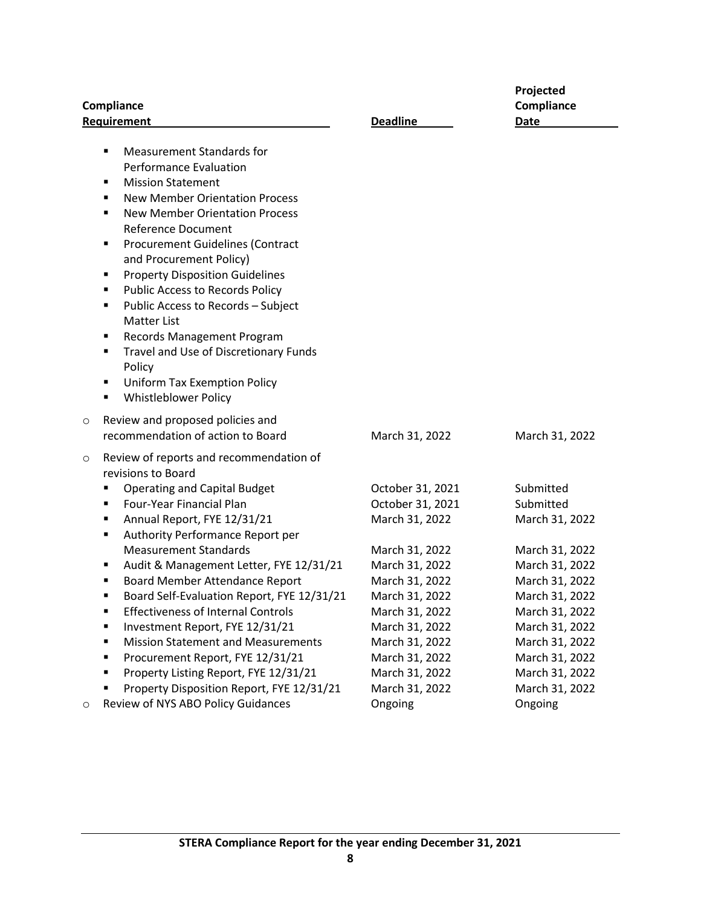| <b>Compliance</b> |                                                                                                                                                                                                                                                                                                                                                                                                                                                                                                                                                                                                                                                       |                                                                                                                                                                                  | Projected<br>Compliance                                                                                                                                                          |  |
|-------------------|-------------------------------------------------------------------------------------------------------------------------------------------------------------------------------------------------------------------------------------------------------------------------------------------------------------------------------------------------------------------------------------------------------------------------------------------------------------------------------------------------------------------------------------------------------------------------------------------------------------------------------------------------------|----------------------------------------------------------------------------------------------------------------------------------------------------------------------------------|----------------------------------------------------------------------------------------------------------------------------------------------------------------------------------|--|
|                   | Requirement                                                                                                                                                                                                                                                                                                                                                                                                                                                                                                                                                                                                                                           | <b>Deadline</b>                                                                                                                                                                  | <b>Date</b>                                                                                                                                                                      |  |
|                   | <b>Measurement Standards for</b><br>٠<br><b>Performance Evaluation</b><br><b>Mission Statement</b><br>п<br><b>New Member Orientation Process</b><br>٠<br><b>New Member Orientation Process</b><br>п<br><b>Reference Document</b><br><b>Procurement Guidelines (Contract</b><br>п<br>and Procurement Policy)<br><b>Property Disposition Guidelines</b><br>٠<br><b>Public Access to Records Policy</b><br>٠<br>Public Access to Records - Subject<br>٠<br><b>Matter List</b><br>Records Management Program<br>٠<br>Travel and Use of Discretionary Funds<br>٠<br>Policy<br><b>Uniform Tax Exemption Policy</b><br>٠<br><b>Whistleblower Policy</b><br>п |                                                                                                                                                                                  |                                                                                                                                                                                  |  |
| $\circ$           | Review and proposed policies and<br>recommendation of action to Board                                                                                                                                                                                                                                                                                                                                                                                                                                                                                                                                                                                 | March 31, 2022                                                                                                                                                                   | March 31, 2022                                                                                                                                                                   |  |
| $\circ$           | Review of reports and recommendation of<br>revisions to Board<br><b>Operating and Capital Budget</b><br>п<br>Four-Year Financial Plan<br>п<br>Annual Report, FYE 12/31/21<br>٠<br>Authority Performance Report per<br>٠                                                                                                                                                                                                                                                                                                                                                                                                                               | October 31, 2021<br>October 31, 2021<br>March 31, 2022                                                                                                                           | Submitted<br>Submitted<br>March 31, 2022                                                                                                                                         |  |
|                   | <b>Measurement Standards</b><br>Audit & Management Letter, FYE 12/31/21<br>٠<br>Board Member Attendance Report<br>٠<br>Board Self-Evaluation Report, FYE 12/31/21<br>п<br><b>Effectiveness of Internal Controls</b><br>٠<br>Investment Report, FYE 12/31/21<br>٠<br><b>Mission Statement and Measurements</b><br>٠<br>Procurement Report, FYE 12/31/21<br>٠<br>Property Listing Report, FYE 12/31/21<br>٠<br>Property Disposition Report, FYE 12/31/21<br>п                                                                                                                                                                                           | March 31, 2022<br>March 31, 2022<br>March 31, 2022<br>March 31, 2022<br>March 31, 2022<br>March 31, 2022<br>March 31, 2022<br>March 31, 2022<br>March 31, 2022<br>March 31, 2022 | March 31, 2022<br>March 31, 2022<br>March 31, 2022<br>March 31, 2022<br>March 31, 2022<br>March 31, 2022<br>March 31, 2022<br>March 31, 2022<br>March 31, 2022<br>March 31, 2022 |  |
| O                 | Review of NYS ABO Policy Guidances                                                                                                                                                                                                                                                                                                                                                                                                                                                                                                                                                                                                                    | Ongoing                                                                                                                                                                          | Ongoing                                                                                                                                                                          |  |